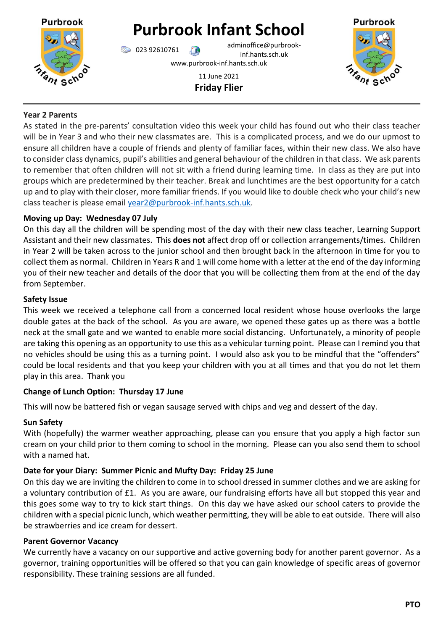

# **Purbrook Infant School**

023 92610761 adminoffice@purbrookinf.hants.sch.uk www.purbrook-inf.hants.sch.uk

> 11 June 2021 **Friday Flier**



# **Year 2 Parents**

As stated in the pre-parents' consultation video this week your child has found out who their class teacher will be in Year 3 and who their new classmates are. This is a complicated process, and we do our upmost to ensure all children have a couple of friends and plenty of familiar faces, within their new class. We also have to consider class dynamics, pupil's abilities and general behaviour of the children in that class. We ask parents to remember that often children will not sit with a friend during learning time. In class as they are put into groups which are predetermined by their teacher. Break and lunchtimes are the best opportunity for a catch up and to play with their closer, more familiar friends. If you would like to double check who your child's new class teacher is please email [year2@purbrook-inf.hants.sch.uk.](mailto:year2@purbrook-inf.hants.sch.uk)

# **Moving up Day: Wednesday 07 July**

On this day all the children will be spending most of the day with their new class teacher, Learning Support Assistant and their new classmates. This **does not** affect drop off or collection arrangements/times. Children in Year 2 will be taken across to the junior school and then brought back in the afternoon in time for you to collect them as normal. Children in Years R and 1 will come home with a letter at the end of the day informing you of their new teacher and details of the door that you will be collecting them from at the end of the day from September.

# **Safety Issue**

This week we received a telephone call from a concerned local resident whose house overlooks the large double gates at the back of the school. As you are aware, we opened these gates up as there was a bottle neck at the small gate and we wanted to enable more social distancing. Unfortunately, a minority of people are taking this opening as an opportunity to use this as a vehicular turning point. Please can I remind you that no vehicles should be using this as a turning point. I would also ask you to be mindful that the "offenders" could be local residents and that you keep your children with you at all times and that you do not let them play in this area. Thank you

# **Change of Lunch Option: Thursday 17 June**

This will now be battered fish or vegan sausage served with chips and veg and dessert of the day.

# **Sun Safety**

With (hopefully) the warmer weather approaching, please can you ensure that you apply a high factor sun cream on your child prior to them coming to school in the morning. Please can you also send them to school with a named hat.

# **Date for your Diary: Summer Picnic and Mufty Day: Friday 25 June**

On this day we are inviting the children to come in to school dressed in summer clothes and we are asking for a voluntary contribution of £1. As you are aware, our fundraising efforts have all but stopped this year and this goes some way to try to kick start things. On this day we have asked our school caters to provide the children with a special picnic lunch, which weather permitting, they will be able to eat outside. There will also be strawberries and ice cream for dessert.

# **Parent Governor Vacancy**

We currently have a vacancy on our supportive and active governing body for another parent governor. As a governor, training opportunities will be offered so that you can gain knowledge of specific areas of governor responsibility. These training sessions are all funded.